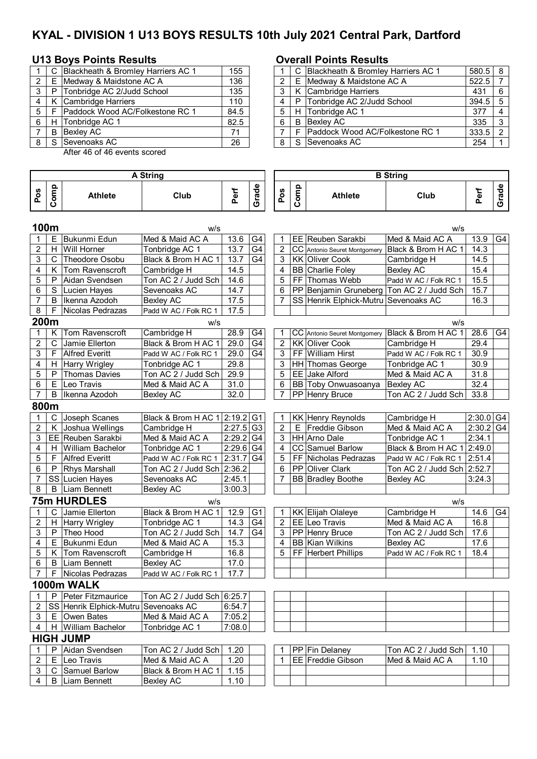# **KYAL - DIVISION 1 U13 BOYS RESULTS 10th July 2021 Central Park, Dartford**

## **U13 Boys Points Results Overall Points Results**

|               | C  | Blackheath & Bromley Harriers AC 1 | 155  |   |    | C Blackheath & Bromley Harriers AC 1 |
|---------------|----|------------------------------------|------|---|----|--------------------------------------|
| $\mathcal{P}$ | F  | Medway & Maidstone AC A            | 136  |   |    | E Medway & Maidstone AC A            |
| 3             | P  | Tonbridge AC 2/Judd School         | 135  |   |    | K Cambridge Harriers                 |
| 4             |    | Cambridge Harriers                 | 110  |   | P. | Tonbridge AC 2/Judd School           |
| 5             |    | Paddock Wood AC/Folkestone RC 1    | 84.5 | 5 |    | H Tonbridge AC 1                     |
| 6             |    | H Tonbridge AC 1                   | 82.5 | 6 | B  | <b>Bexley AC</b>                     |
|               | B  | Bexley AC                          | 71   |   |    | Paddock Wood AC/Folkestone RC 1      |
| 8             | S. | Sevenoaks AC                       | 26   | 8 |    | S Sevenoaks AC                       |
|               |    |                                    |      |   |    |                                      |

After 46 of 46 events scored

### **Pos Comp Athlete Club Perf Grade Pos Comp Athlete Club Perf Grade 100m** w/s w/s 1 E Bukunmi Edun Med & Maid AC A 13.6 G4 1 EE Reuben Sarakbi Med & Maid AC A 13.9 G4 2 | H | Will Horner | Tonbridge AC 1 | 13.7 | G4 | | 2 | CC | Antonio Seuret Montgomery | Black & Brom H AC 1 | 14.3 3 | C | Theodore Osobu | Black & Brom H AC 1 | 13.7 | G4 | | 3 | KK | Oliver Cook | Cambridge H | 14.5 4 | K | Tom Ravenscroft | Cambridge H | 14.5 | | | 4 | BB | Charlie Foley | Bexley AC | 15.4  $5$  P Aidan Svendsen  $\vert$  Ton AC 2 / Judd Sch  $\vert$  14.6  $\vert$   $\vert$  | 5  $\vert$  FF Thomas Webb Padd W AC / Folk RC 1 | 15.5 6 S Lucien Hayes Sevenoaks AC 14.7 | | 6 PP Benjamin Gruneberg Ton AC 2 / Judd Sch | 15.7 7 | B |Ikenna Azodoh | Bexley AC | 17.5 | | | 7 | SS | Henrik Elphick-Mutru | Sevenoaks AC | 16.3 8 | F Nicolas Pedrazas | Padd W AC / Folk RC 1 | 17.5 **200m** w/s w/s 1 K Tom Ravenscroft Cambridge H 28.9 G4 1 CC Antonio Seuret Montgomery Black & Brom H AC 1 28.6 G4<br>2 C Jamie Ellerton Black & Brom H AC 1 29.0 G4 2 KK Oliver Cook Cambridge H 29.4 2 C Jamie Ellerton Black & Brom H AC 1 29.0 G4 2 KK Oliver Cook Cambridge H 29.4 3 F Alfred Everitt Padd W AC / Folk RC 1 29.0 G4 3 FF William Hirst Padd W AC / Folk RC 1 30.9 4 | H Harry Wrigley | Tonbridge AC 1 | 29.8 | | | 3 | HH Thomas George | Tonbridge AC 1 | 30.9 5 P Thomas Davies Ton AC 2 / Judd Sch 29.9 | | | 5 | EE Jake Alford Med & Maid AC A | 31.8 6 E Leo Travis Med & Maid AC A  $\mid$  31.0  $\mid$   $\mid$  6 BB Toby Onwuasoanya Bexley AC 32.4 7 B Ikenna Azodoh Bexley AC 32.0 7 PP Henry Bruce Ton AC 2 / Judd Sch 33.8 **800m** 1 | C | Joseph Scanes | Black & Brom H AC 1 | 2:19.2 G1 | T | KK | Henry Reynolds | Cambridge H | 2:30.0 G4 2 | K |Joshua Wellings | Cambridge H | 2:27.5 G3 | 2 | E | Freddie Gibson | Med & Maid AC A | 2:30.2 G4 3 EE Reuben Sarakbi Med & Maid AC A 2:29.2 G4 3 HH Arno Dale Tonbridge AC 1 2:34.1 4 | H William Bachelor | Tonbridge AC 1 | 2:29.6 G4 | 4 | CC Samuel Barlow | Black & Brom H AC 1 | 2:49.0 5 | F | Alfred Everitt | Padd W AC / Folk RC 1 | 2:31.7 | G4 | 5 | FF | Nicholas Pedrazas | Padd W AC / Folk RC 1 | 2:51.4 6 P Rhys Marshall Ton AC 2 / Judd Sch 2:36.2 6 PP Oliver Clark Ton AC 2 / Judd Sch 2:52.7 7 SS Lucien Hayes Sevenoaks AC 2:45.1 | | 7 | BB Bradley Boothe Bexley AC | 3:24.3 8 | B | Liam Bennett | Bexley AC | 3:00.3 **75m HURDLES** w/s w/s 1 | C | Jamie Ellerton | Black & Brom H AC 1 | 12.9 | G1 | T | KK | Elijah Olaleye | Cambridge H | 14.6 | G4 2 | H |Harry Wrigley | Tonbridge AC 1 | 14.3 | G4 | 2 | EE | Leo Travis | Med & Maid AC A | 16.8 3 | P | Theo Hood | Ton AC 2 / Judd Sch | 14.7 | G4 | 3 | PP | Henry Bruce | Ton AC 2 / Judd Sch | 17.6 4 | E | Bukunmi Edun | Med & Maid AC A | 15.3 | | | 4 | BB | Kian Wilkins | Bexley AC | 17.6 5 | K | Tom Ravenscroft | Cambridge H | 16.8 | | | 5 | FF | Herbert Phillips | Padd W AC / Folk RC 1 | 18.4 6 | B | Liam Bennett | Bexley AC | 17.0 7 | F | Nicolas Pedrazas | Padd W AC / Folk RC 1 | 17.7 **1000m WALK** 1 | P Peter Fitzmaurice | Ton AC 2 / Judd Sch 6:25.7 2 SS Henrik Elphick-Mutru Sevenoaks AC 6:54.7  $3 \mid E$  Owen Bates Med & Maid AC A 7:05.2 4 | H William Bachelor | Tonbridge AC 1 | 7:08.0 **HIGH JUMP** 1 P Aidan Svendsen Ton AC 2 / Judd Sch 1.20 1 PP Fin Delaney Ton AC 2 / Judd Sch 1.10<br>2 E Leo Travis Med & Maid AC A 1.20 1 EE Freddie Gibson Med & Maid AC A 1.10 2 E Leo Travis Med & Maid AC A 1.20 1 1 EE Freddie Gibson Med & Maid AC A 3 | C Samuel Barlow | Black & Brom H AC 1 | 1.15 4 | B Liam Bennett | Bexley AC | 1.10 **A String B String**

|   |                       | 155                                                                                                                                                                                                     |  |  | 580.5                                                                                                                                                                                                                      | <sup>8</sup> |
|---|-----------------------|---------------------------------------------------------------------------------------------------------------------------------------------------------------------------------------------------------|--|--|----------------------------------------------------------------------------------------------------------------------------------------------------------------------------------------------------------------------------|--------------|
|   |                       | 136                                                                                                                                                                                                     |  |  | 522.5                                                                                                                                                                                                                      |              |
| P |                       | 135                                                                                                                                                                                                     |  |  | 431                                                                                                                                                                                                                        | 6            |
|   |                       | 110                                                                                                                                                                                                     |  |  | 394.5                                                                                                                                                                                                                      | $5 -$        |
|   |                       | 84.5                                                                                                                                                                                                    |  |  | 377                                                                                                                                                                                                                        |              |
| H |                       | 82.5                                                                                                                                                                                                    |  |  | 335                                                                                                                                                                                                                        | ົ            |
| B |                       | 71                                                                                                                                                                                                      |  |  | 333.5                                                                                                                                                                                                                      |              |
|   |                       | 26                                                                                                                                                                                                      |  |  | 254                                                                                                                                                                                                                        |              |
|   | 5 I F<br>6 I<br>8 I S | C Blackheath & Bromley Harriers AC 1<br>Medway & Maidstone AC A<br>Tonbridge AC 2/Judd School<br>K Cambridge Harriers<br>Paddock Wood AC/Folkestone RC 1<br>Tonbridge AC 1<br>Bexley AC<br>Sevenoaks AC |  |  | C Blackheath & Bromley Harriers AC 1<br>E Medway & Maidstone AC A<br>K Cambridge Harriers<br>P Tonbridge AC 2/Judd School<br>H Tonbridge AC 1<br><b>B</b> Bexlev AC<br>F Paddock Wood AC/Folkestone RC 1<br>S Sevenoaks AC |              |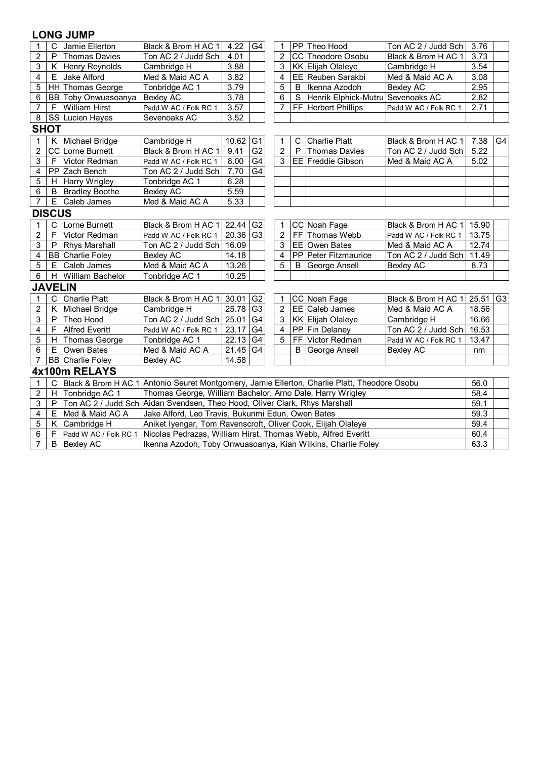| $\mathbf{1}$   | С              | Jamie Ellerton          | Black & Brom H AC 1                                                                          | 4.22                                                         | G4             |  | 1              |   | PP Theo Hood                      | Ton AC 2 / Judd Sch   | 3.76  |                |  |
|----------------|----------------|-------------------------|----------------------------------------------------------------------------------------------|--------------------------------------------------------------|----------------|--|----------------|---|-----------------------------------|-----------------------|-------|----------------|--|
| $\overline{c}$ | P              | <b>Thomas Davies</b>    | Ton AC 2 / Judd Sch                                                                          | 4.01                                                         |                |  | 2              |   | CC Theodore Osobu                 | Black & Brom H AC 1   | 3.73  |                |  |
| 3              |                | K Henry Reynolds        | Cambridge H                                                                                  | 3.88                                                         |                |  | 3              |   | KK Elijah Olaleye                 | Cambridge H           | 3.54  |                |  |
| 4              |                | E Jake Alford           | Med & Maid AC A                                                                              | 3.82                                                         |                |  | 4              |   | EE Reuben Sarakbi                 | Med & Maid AC A       | 3.08  |                |  |
| 5              |                | HH Thomas George        | Tonbridge AC 1                                                                               | 3.79                                                         |                |  | 5              | B | Ikenna Azodoh                     | <b>Bexley AC</b>      | 2.95  |                |  |
| 6              |                | BB Toby Onwuasoanya     | <b>Bexley AC</b>                                                                             | 3.78                                                         |                |  | 6              | S | Henrik Elphick-Mutru Sevenoaks AC |                       | 2.82  |                |  |
| $\overline{7}$ | E              | <b>William Hirst</b>    | Padd W AC / Folk RC 1                                                                        | 3.57                                                         |                |  | $\overline{7}$ |   | FF Herbert Phillips               | Padd W AC / Folk RC 1 | 2.71  |                |  |
| 8              |                | SS Lucien Hayes         | Sevenoaks AC                                                                                 | 3.52                                                         |                |  |                |   |                                   |                       |       |                |  |
|                | <b>SHOT</b>    |                         |                                                                                              |                                                              |                |  |                |   |                                   |                       |       |                |  |
| 1              |                | K Michael Bridge        | Cambridge H                                                                                  | 10.62                                                        | G <sub>1</sub> |  | 1              | C | Charlie Platt                     | Black & Brom H AC 1   | 7.38  | G4             |  |
| $\overline{c}$ |                | CC Lorne Burnett        | Black & Brom H AC 1                                                                          | 9.41                                                         | G <sub>2</sub> |  | $\overline{2}$ | P | <b>Thomas Davies</b>              | Ton AC 2 / Judd Sch   | 5.22  |                |  |
| 3              | F              | <b>Victor Redman</b>    | Padd W AC / Folk RC 1                                                                        | 8.00                                                         | G <sub>4</sub> |  | 3              |   | <b>EE</b> Freddie Gibson          | Med & Maid AC A       | 5.02  |                |  |
| 4              |                | PP Zach Bench           | Ton AC 2 / Judd Sch                                                                          | 7.70                                                         | G4             |  |                |   |                                   |                       |       |                |  |
| 5              |                | H Harry Wrigley         | Tonbridge AC 1                                                                               | 6.28                                                         |                |  |                |   |                                   |                       |       |                |  |
| 6              |                | <b>B</b> Bradley Boothe | <b>Bexley AC</b>                                                                             | 5.59                                                         |                |  |                |   |                                   |                       |       |                |  |
| $\overline{7}$ | E.             | Caleb James             | Med & Maid AC A                                                                              | 5.33                                                         |                |  |                |   |                                   |                       |       |                |  |
|                | <b>DISCUS</b>  |                         |                                                                                              |                                                              |                |  |                |   |                                   |                       |       |                |  |
| 1              | $\mathsf{C}$   | Lorne Burnett           | Black & Brom H AC 1 22.44                                                                    |                                                              | G <sub>2</sub> |  | 1              |   | CC Noah Fage                      | Black & Brom H AC 1   | 15.90 |                |  |
| $\overline{c}$ | F              | Victor Redman           | Padd W AC / Folk RC 1                                                                        | 20.36 G3                                                     |                |  | $\overline{2}$ |   | FF Thomas Webb                    | Padd W AC / Folk RC 1 | 13.75 |                |  |
| 3              | P              | <b>Rhys Marshall</b>    | Ton AC 2 / Judd Sch                                                                          | 16.09                                                        |                |  | 3              |   | EE Owen Bates                     | Med & Maid AC A       | 12.74 |                |  |
| 4              |                | <b>BB</b> Charlie Foley | <b>Bexley AC</b>                                                                             | 14.18                                                        |                |  | 4              |   | PP Peter Fitzmaurice              | Ton AC 2 / Judd Sch   | 11.49 |                |  |
| 5              |                | E Caleb James           | Med & Maid AC A                                                                              | 13.26                                                        |                |  | 5              | B | George Ansell                     | <b>Bexley AC</b>      | 8.73  |                |  |
| 6              | H.             | William Bachelor        | Tonbridge AC 1                                                                               | 10.25                                                        |                |  |                |   |                                   |                       |       |                |  |
|                | <b>JAVELIN</b> |                         |                                                                                              |                                                              |                |  |                |   |                                   |                       |       |                |  |
| 1              | C              | <b>Charlie Platt</b>    | Black & Brom H AC 1                                                                          | 30.01                                                        | G <sub>2</sub> |  | 1              |   | CC Noah Fage                      | Black & Brom H AC 1   | 25.51 | G <sub>3</sub> |  |
| $\overline{c}$ |                | K Michael Bridge        | Cambridge H                                                                                  | 25.78                                                        | G <sub>3</sub> |  | $\overline{2}$ |   | EE Caleb James                    | Med & Maid AC A       | 18.56 |                |  |
| 3              | P              | Theo Hood               | Ton AC 2 / Judd Sch                                                                          | 25.01                                                        | G4             |  | 3              |   | KK Elijah Olaleye                 | Cambridge H           | 16.66 |                |  |
| 4              | F              | <b>Alfred Everitt</b>   | Padd W AC / Folk RC 1                                                                        | 23.17                                                        | G <sub>4</sub> |  | $\overline{4}$ |   | PP Fin Delaney                    | Ton AC 2 / Judd Sch   | 16.53 |                |  |
| 5              | H              | Thomas George           | Tonbridge AC 1                                                                               | 22.13                                                        | G <sub>4</sub> |  | 5              |   | FF Victor Redman                  | Padd W AC / Folk RC 1 | 13.47 |                |  |
| 6              | E              | <b>Owen Bates</b>       | Med & Maid AC A                                                                              | $21.45$ G4                                                   |                |  |                | B | George Ansell                     | <b>Bexley AC</b>      | nm    |                |  |
| 7              |                | <b>BB</b> Charlie Foley | 14.58<br><b>Bexley AC</b>                                                                    |                                                              |                |  |                |   |                                   |                       |       |                |  |
| 4x100m RELAYS  |                |                         |                                                                                              |                                                              |                |  |                |   |                                   |                       |       |                |  |
| 1              | C              |                         | Black & Brom H AC 1 Antonio Seuret Montgomery, Jamie Ellerton, Charlie Platt, Theodore Osobu |                                                              |                |  |                |   |                                   |                       | 56.0  |                |  |
| $\overline{c}$ |                | H Tonbridge AC 1        | Thomas George, William Bachelor, Arno Dale, Harry Wrigley                                    |                                                              |                |  |                |   |                                   |                       | 58.4  |                |  |
| 3              | P              |                         | Ton AC 2 / Judd Sch Aidan Svendsen, Theo Hood, Oliver Clark, Rhys Marshall                   |                                                              |                |  |                |   |                                   |                       | 59.1  |                |  |
| 4              | E              | Med & Maid AC A         | Jake Alford, Leo Travis, Bukunmi Edun, Owen Bates                                            |                                                              |                |  |                |   |                                   |                       | 59.3  |                |  |
| 5              |                | K Cambridge H           | Aniket Iyengar, Tom Ravenscroft, Oliver Cook, Elijah Olaleye                                 |                                                              |                |  |                |   |                                   |                       | 59.4  |                |  |
| 6              | F              | Padd W AC / Folk RC 1   |                                                                                              | Nicolas Pedrazas, William Hirst, Thomas Webb, Alfred Everitt |                |  |                |   |                                   |                       |       |                |  |

7] B |Bexley AC |Ikenna Azodoh, Toby Onwuasoanya, Kian Wilkins, Charlie Foley | 63.3

Ikenna Azodoh, Toby Onwuasoanya, Kian Wilkins, Charlie Foley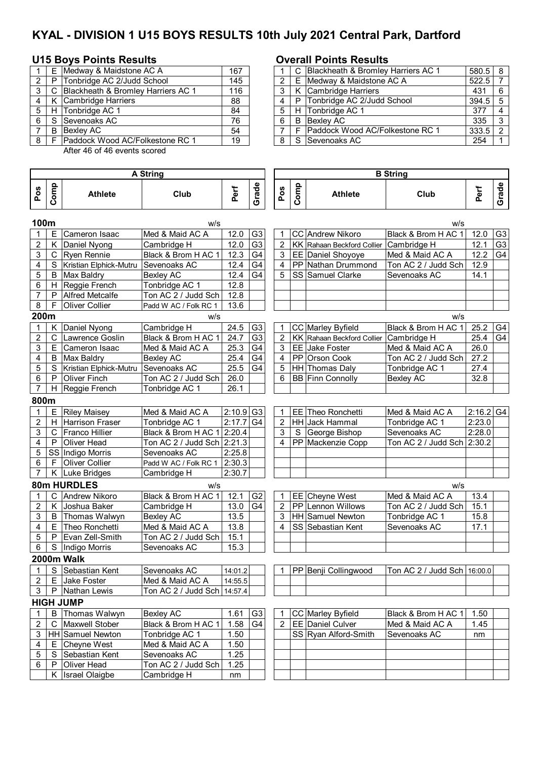# **KYAL - DIVISION 1 U15 BOYS RESULTS 10th July 2021 Central Park, Dartford**

## **U15 Boys Points Results Overall Points Results**

|   |   | E Medway & Maidstone AC A            | 167 |   | C Blackheath & Bromley Harriers AC 1   |
|---|---|--------------------------------------|-----|---|----------------------------------------|
| 2 | P | Tonbridge AC 2/Judd School           | 145 |   | E Medway & Maidstone AC A              |
|   |   | C Blackheath & Bromley Harriers AC 1 | 116 |   | K Cambridge Harriers                   |
|   | K | Cambridge Harriers                   | 88  |   | P Tonbridge AC 2/Judd School           |
|   |   | H Tonbridge AC 1                     | 84  | 5 | H Tonbridge AC 1                       |
| 6 | S | Sevenoaks AC                         | 76  | 6 | <b>B</b> Bexley AC                     |
|   | B | Bexlev AC                            | 54  |   | <b>Paddock Wood AC/Folkestone RC 1</b> |
| 8 |   | F Paddock Wood AC/Folkestone RC 1    | 19  | 8 | S Sevenoaks AC                         |

After 46 of 46 events scored

|     | E     | Medway & Maidstone AC A                | 167 |  |    | C Blackheath & Bromley Harriers AC 1   | $580.5$ 8 |     |
|-----|-------|----------------------------------------|-----|--|----|----------------------------------------|-----------|-----|
|     | 2 I P | Tonbridge AC 2/Judd School             | 145 |  |    | E   Medway & Maidstone AC A            | 522.5     |     |
|     |       | 3 C Blackheath & Bromley Harriers AC 1 | 116 |  |    | K Cambridge Harriers                   | 431       | 6   |
| 4   |       | K   Cambridge Harriers                 | 88  |  |    | P Tonbridge AC 2/Judd School           | 394.5     | - 5 |
|     | 5   H | <b>ITonbridge AC 1</b>                 | 84  |  |    | H Tonbridge AC 1                       | 377       |     |
| 6 I | l S   | Sevenoaks AC                           | 76  |  | B. | Bexlev AC                              | 335       | 3   |
|     | -B    | Bexley AC                              | 54  |  |    | <b>Paddock Wood AC/Folkestone RC 1</b> | 333.5     |     |
|     |       | 8   F IPaddock Wood AC/Folkestone RC 1 | 19  |  |    | S Sevenoaks AC                         | 254       |     |

|                         | A String |                        |                             |                         |                |                |      | <b>B</b> String             |                             |             |                |  |  |  |  |
|-------------------------|----------|------------------------|-----------------------------|-------------------------|----------------|----------------|------|-----------------------------|-----------------------------|-------------|----------------|--|--|--|--|
| Pos                     | Comp     | <b>Athlete</b>         | Club                        | Perf                    | Grade          | Pos            | Comp | <b>Athlete</b>              | Club                        | Perf        | Grade          |  |  |  |  |
| 100m                    |          |                        | w/s                         |                         |                |                |      |                             | w/s                         |             |                |  |  |  |  |
| 1                       | Е        | Cameron Isaac          | Med & Maid AC A             | 12.0                    | G <sub>3</sub> | 1              |      | CC Andrew Nikoro            | Black & Brom H AC 1         | 12.0        | G3             |  |  |  |  |
| $\overline{c}$          | K.       | Daniel Nyong           | Cambridge H                 | 12.0                    | G <sub>3</sub> | 2              |      | KK Rahaan Beckford Collier  | Cambridge H                 | 12.1        | G <sub>3</sub> |  |  |  |  |
| 3                       | С        | <b>Ryen Rennie</b>     | Black & Brom H AC 1         | 12.3                    | G4             | 3              |      | EE Daniel Shoyoye           | Med & Maid AC A             | 12.2        | G4             |  |  |  |  |
| 4                       | S        | Kristian Elphick-Mutru | Sevenoaks AC                | 12.4                    | G <sub>4</sub> | 4              |      | PP Nathan Drummond          | Ton AC 2 / Judd Sch         | 12.9        |                |  |  |  |  |
| 5                       | B        | <b>Max Baldry</b>      | <b>Bexley AC</b>            | 12.4                    | G4             | 5              |      | SS Samuel Clarke            | Sevenoaks AC                | 14.1        |                |  |  |  |  |
| 6                       |          | H Reggie French        | Tonbridge AC 1              | 12.8                    |                |                |      |                             |                             |             |                |  |  |  |  |
| $\overline{7}$          | P        | <b>Alfred Metcalfe</b> | Ton AC 2 / Judd Sch         | 12.8                    |                |                |      |                             |                             |             |                |  |  |  |  |
| 8                       | F        | <b>Oliver Collier</b>  | Padd W AC / Folk RC 1       | 13.6                    |                |                |      |                             |                             |             |                |  |  |  |  |
| 200m                    |          |                        | W/S                         |                         |                |                |      |                             | W/S                         |             |                |  |  |  |  |
| $\mathbf 1$             | K.       | Daniel Nyong           | Cambridge H                 | 24.5                    | G <sub>3</sub> | 1              |      | CC Marley Byfield           | Black & Brom H AC 1         | 25.2        | G4             |  |  |  |  |
| $\overline{2}$          | C        | Lawrence Goslin        | Black & Brom H AC 1         | 24.7                    | G <sub>3</sub> | $\overline{2}$ |      | KK Rahaan Beckford Collier  | Cambridge H                 | 25.4        | G4             |  |  |  |  |
| 3                       | Е        | Cameron Isaac          | Med & Maid AC A             | 25.3                    | G4             | 3              |      | EE Jake Foster              | Med & Maid AC A             | 26.0        |                |  |  |  |  |
| 4                       | B        | Max Baldry             | <b>Bexley AC</b>            | 25.4                    | G <sub>4</sub> | 4              |      | PP Orson Cook               | Ton AC 2 / Judd Sch         | 27.2        |                |  |  |  |  |
| 5                       | S        | Kristian Elphick-Mutru | Sevenoaks AC                | 25.5                    | G <sub>4</sub> | 5              |      | HH Thomas Daly              | Tonbridge AC 1              | 27.4        |                |  |  |  |  |
| 6                       | P        | <b>Oliver Finch</b>    | Ton AC 2 / Judd Sch         | 26.0                    |                | 6              |      | <b>BB</b> Finn Connolly     | <b>Bexley AC</b>            | 32.8        |                |  |  |  |  |
| $\overline{7}$          |          | H Reggie French        | Tonbridge AC 1              | 26.1                    |                |                |      |                             |                             |             |                |  |  |  |  |
| 800m                    |          |                        |                             |                         |                |                |      |                             |                             |             |                |  |  |  |  |
| 1                       | E.       | <b>Riley Maisey</b>    | Med & Maid AC A             | $2:10.9$ G <sub>3</sub> |                | 1              |      | EE Theo Ronchetti           | Med & Maid AC A             | $2:16.2$ G4 |                |  |  |  |  |
| $\overline{2}$          | H        | Harrison Fraser        | Tonbridge AC 1              | 2:17.7                  | G <sub>4</sub> | 2              |      | <b>HH</b> Jack Hammal       | Tonbridge AC 1              | 2:23.0      |                |  |  |  |  |
| 3                       | C        | Franco Hillier         | Black & Brom H AC 1 2:20.4  |                         |                | 3              | S.   | George Bishop               | Sevenoaks AC                | 2:28.0      |                |  |  |  |  |
| 4                       | P        | <b>Oliver Head</b>     | Ton AC 2 / Judd Sch 2:21.3  |                         |                | 4              |      | PP Mackenzie Copp           | Ton AC 2 / Judd Sch         | 2:30.2      |                |  |  |  |  |
| 5                       |          | SS Indigo Morris       | Sevenoaks AC                | 2:25.8                  |                |                |      |                             |                             |             |                |  |  |  |  |
| 6                       |          | F Oliver Collier       | Padd W AC / Folk RC 1       | 2:30.3                  |                |                |      |                             |                             |             |                |  |  |  |  |
| $\overline{7}$          |          | K Luke Bridges         | Cambridge H                 | 2:30.7                  |                |                |      |                             |                             |             |                |  |  |  |  |
|                         |          | 80m HURDLES            | w/s                         |                         |                |                |      |                             | W/S                         |             |                |  |  |  |  |
| $\mathbf{1}$            |          | C Andrew Nikoro        | Black & Brom H AC 1         | 12.1                    | G <sub>2</sub> | $\mathbf{1}$   |      | EE Cheyne West              | Med & Maid AC A             | 13.4        |                |  |  |  |  |
| $\overline{c}$          | K.       | Joshua Baker           | Cambridge H                 | 13.0                    | G4             | $\overline{2}$ |      | PP Lennon Willows           | Ton AC 2 / Judd Sch         | 15.1        |                |  |  |  |  |
| 3                       | B        | Thomas Walwyn          | <b>Bexley AC</b>            | 13.5                    |                | 3              |      | HH Samuel Newton            | Tonbridge AC 1              | 15.8        |                |  |  |  |  |
| 4                       | Е        | Theo Ronchetti         | Med & Maid AC A             | 13.8                    |                | 4              |      | SS Sebastian Kent           | Sevenoaks AC                | 17.1        |                |  |  |  |  |
| 5                       | P        | Evan Zell-Smith        | Ton AC 2 / Judd Sch         | 15.1                    |                |                |      |                             |                             |             |                |  |  |  |  |
| 6                       | S        | Indigo Morris          | Sevenoaks AC                | 15.3                    |                |                |      |                             |                             |             |                |  |  |  |  |
|                         |          | 2000m Walk             |                             |                         |                |                |      |                             |                             |             |                |  |  |  |  |
| $\overline{1}$          |          | S Sebastian Kent       | Sevenoaks AC                | 14:01.2                 |                | 1              |      | <b>PP</b> Benji Collingwood | Ton AC 2 / Judd Sch 16:00.0 |             |                |  |  |  |  |
| $\overline{2}$          |          | E Jake Foster          | Med & Maid AC A             | 14:55.5                 |                |                |      |                             |                             |             |                |  |  |  |  |
| 3                       |          | P Nathan Lewis         | Ton AC 2 / Judd Sch 14:57.4 |                         |                |                |      |                             |                             |             |                |  |  |  |  |
|                         |          | <b>HIGH JUMP</b>       |                             |                         |                |                |      |                             |                             |             |                |  |  |  |  |
| $\mathbf 1$             | B        | Thomas Walwyn          | <b>Bexley AC</b>            | 1.61                    | G <sub>3</sub> |                |      | CC Marley Byfield           | Black & Brom H AC 1         | 1.50        |                |  |  |  |  |
| $\overline{\mathbf{c}}$ | С        | <b>Maxwell Stober</b>  | Black & Brom H AC 1         | 1.58                    | G4             | $\overline{2}$ |      | EE Daniel Culver            | Med & Maid AC A             | 1.45        |                |  |  |  |  |
| 3                       |          | HH Samuel Newton       | Tonbridge AC 1              | 1.50                    |                |                |      | SS Ryan Alford-Smith        | Sevenoaks AC                | nm          |                |  |  |  |  |
| 4                       |          | E Cheyne West          | Med & Maid AC A             | 1.50                    |                |                |      |                             |                             |             |                |  |  |  |  |
| 5                       |          | S Sebastian Kent       | Sevenoaks AC                | 1.25                    |                |                |      |                             |                             |             |                |  |  |  |  |
| 6                       | P.       | Oliver Head            | Ton AC 2 / Judd Sch         | 1.25                    |                |                |      |                             |                             |             |                |  |  |  |  |
|                         |          | K Israel Olaigbe       | Cambridge H                 | nm                      |                |                |      |                             |                             |             |                |  |  |  |  |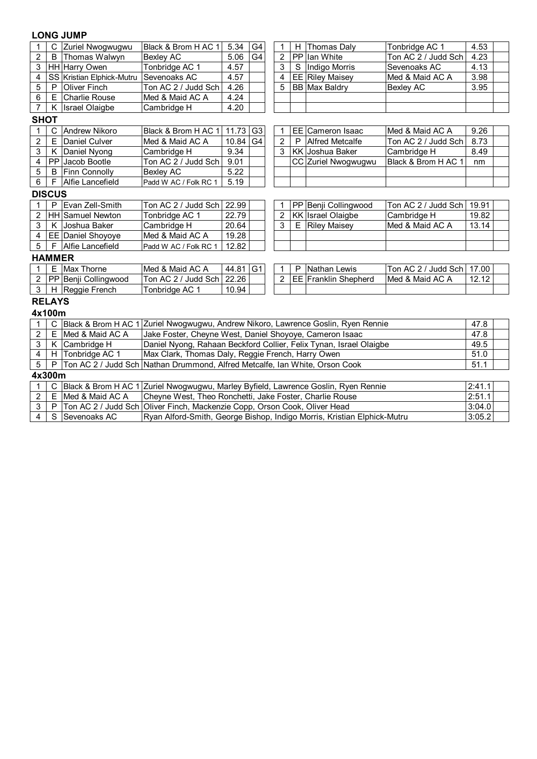## **LONG JUMP**

| $\mathbf 1$                                                                                                                                    |               | C Zuriel Nwogwugwu        | Black & Brom H AC 1                                                         | 5.34  | G4             | 1              |   | H Thomas Daly               | Tonbridge AC 1      | 4.53  |  |  |
|------------------------------------------------------------------------------------------------------------------------------------------------|---------------|---------------------------|-----------------------------------------------------------------------------|-------|----------------|----------------|---|-----------------------------|---------------------|-------|--|--|
| $\overline{2}$                                                                                                                                 | B             | Thomas Walwyn             | <b>Bexley AC</b>                                                            | 5.06  | G <sub>4</sub> | $\overline{2}$ |   | PP lan White                | Ton AC 2 / Judd Sch | 4.23  |  |  |
| 3                                                                                                                                              |               | HH Harry Owen             | Tonbridge AC 1                                                              | 4.57  |                | 3              | S | <b>Indigo Morris</b>        | Sevenoaks AC        | 4.13  |  |  |
| 4                                                                                                                                              |               | SS Kristian Elphick-Mutru | Sevenoaks AC                                                                | 4.57  |                | 4              |   | <b>EE</b> Riley Maisey      | Med & Maid AC A     | 3.98  |  |  |
| 5                                                                                                                                              | P             | <b>Oliver Finch</b>       | Ton AC 2 / Judd Sch                                                         | 4.26  |                | 5              |   | <b>BB Max Baldry</b>        | <b>Bexley AC</b>    | 3.95  |  |  |
| 6                                                                                                                                              |               | E Charlie Rouse           | Med & Maid AC A                                                             | 4.24  |                |                |   |                             |                     |       |  |  |
| $\overline{7}$                                                                                                                                 | K             | <b>Israel Olaigbe</b>     | Cambridge H                                                                 | 4.20  |                |                |   |                             |                     |       |  |  |
| <b>SHOT</b>                                                                                                                                    |               |                           |                                                                             |       |                |                |   |                             |                     |       |  |  |
| <b>Andrew Nikoro</b><br>C.<br>Black & Brom H AC 1<br>11.73<br>G <sub>3</sub><br><b>EE</b> Cameron Isaac<br>Med & Maid AC A<br>$\mathbf 1$<br>1 |               |                           |                                                                             |       |                |                |   |                             |                     | 9.26  |  |  |
| $\overline{c}$                                                                                                                                 | E.            | <b>Daniel Culver</b>      | Med & Maid AC A                                                             | 10.84 | G <sub>4</sub> | 2              | P | <b>Alfred Metcalfe</b>      | Ton AC 2 / Judd Sch | 8.73  |  |  |
| 3                                                                                                                                              | K.            | Daniel Nyong              | Cambridge H                                                                 | 9.34  |                | 3              |   | KK Joshua Baker             | Cambridge H         | 8.49  |  |  |
| 4                                                                                                                                              |               | PP Jacob Bootle           | Ton AC 2 / Judd Sch                                                         | 9.01  |                |                |   | CC Zuriel Nwogwugwu         | Black & Brom H AC 1 | nm    |  |  |
| 5                                                                                                                                              |               | <b>B</b> Finn Connolly    | <b>Bexley AC</b>                                                            | 5.22  |                |                |   |                             |                     |       |  |  |
| 6                                                                                                                                              | F.            | Alfie Lancefield          | Padd W AC / Folk RC 1                                                       | 5.19  |                |                |   |                             |                     |       |  |  |
|                                                                                                                                                | <b>DISCUS</b> |                           |                                                                             |       |                |                |   |                             |                     |       |  |  |
|                                                                                                                                                |               | P Evan Zell-Smith         | Ton AC 2 / Judd Sch                                                         | 22.99 |                |                |   | PP Benji Collingwood        | Ton AC 2 / Judd Sch | 19.91 |  |  |
| $\overline{2}$                                                                                                                                 |               | HH Samuel Newton          | Tonbridge AC 1                                                              | 22.79 |                | 2              |   | KK Israel Olaigbe           | Cambridge H         | 19.82 |  |  |
| 3                                                                                                                                              |               | K Joshua Baker            | Cambridge H                                                                 | 20.64 |                | 3              | Е | <b>Riley Maisey</b>         | Med & Maid AC A     | 13.14 |  |  |
| 4                                                                                                                                              |               | <b>EE Daniel Shoyoye</b>  | Med & Maid AC A                                                             | 19.28 |                |                |   |                             |                     |       |  |  |
| 5                                                                                                                                              | F.            | Alfie Lancefield          | Padd W AC / Folk RC 1                                                       | 12.82 |                |                |   |                             |                     |       |  |  |
|                                                                                                                                                | <b>HAMMER</b> |                           |                                                                             |       |                |                |   |                             |                     |       |  |  |
| $\mathbf 1$                                                                                                                                    |               | E Max Thorne              | Med & Maid AC A                                                             | 44.81 | G <sub>1</sub> | 1              | P | Nathan Lewis                | Ton AC 2 / Judd Sch | 17.00 |  |  |
| 2                                                                                                                                              |               | PP Benji Collingwood      | Ton AC 2 / Judd Sch                                                         | 22.26 |                | 2              |   | <b>EE</b> Franklin Shepherd | Med & Maid AC A     | 12.12 |  |  |
| 3                                                                                                                                              |               | H Reggie French           | Tonbridge AC 1                                                              | 10.94 |                |                |   |                             |                     |       |  |  |
|                                                                                                                                                | <b>RELAYS</b> |                           |                                                                             |       |                |                |   |                             |                     |       |  |  |
|                                                                                                                                                | 4x100m        |                           |                                                                             |       |                |                |   |                             |                     |       |  |  |
|                                                                                                                                                | C             | Black & Brom H AC 1       | Zuriel Nwogwugwu, Andrew Nikoro, Lawrence Goslin, Ryen Rennie<br>47.8       |       |                |                |   |                             |                     |       |  |  |
| $\overline{2}$                                                                                                                                 | E.            | Med & Maid AC A           | Jake Foster, Cheyne West, Daniel Shoyoye, Cameron Isaac                     |       |                |                |   |                             |                     | 47.8  |  |  |
| 3                                                                                                                                              | K.            | Cambridge H               | Daniel Nyong, Rahaan Beckford Collier, Felix Tynan, Israel Olaigbe          |       |                |                |   |                             |                     | 49.5  |  |  |
| 4                                                                                                                                              | H.            | Tonbridge AC 1            | Max Clark, Thomas Daly, Reggie French, Harry Owen                           |       |                |                |   |                             |                     | 51.0  |  |  |
| 5                                                                                                                                              | P             |                           | Ton AC 2 / Judd Sch Nathan Drummond, Alfred Metcalfe, Ian White, Orson Cook |       |                |                |   |                             |                     | 51.1  |  |  |
|                                                                                                                                                | 4x300m        |                           |                                                                             |       |                |                |   |                             |                     |       |  |  |
| C Black & Brom H AC 1 Zuriel Nwogwugwu, Marley Byfield, Lawrence Goslin, Ryen Rennie<br>2:41.1<br>$\overline{1}$                               |               |                           |                                                                             |       |                |                |   |                             |                     |       |  |  |

|  |                     | C Black & Brom H AC 1 Zuriel Nwogwugwu, Marley Byfield, Lawrence Goslin, Ryen Rennie | 2:41.1 |  |
|--|---------------------|--------------------------------------------------------------------------------------|--------|--|
|  | 2 E Med & Maid AC A | Cheyne West, Theo Ronchetti, Jake Foster, Charlie Rouse                              | 2:51.1 |  |
|  |                     | 3 P Ton AC 2 / Judd Sch Oliver Finch, Mackenzie Copp, Orson Cook, Oliver Head        | 3:04.0 |  |
|  | 4 S Sevenoaks AC    | Ryan Alford-Smith, George Bishop, Indigo Morris, Kristian Elphick-Mutru              | 3:05.2 |  |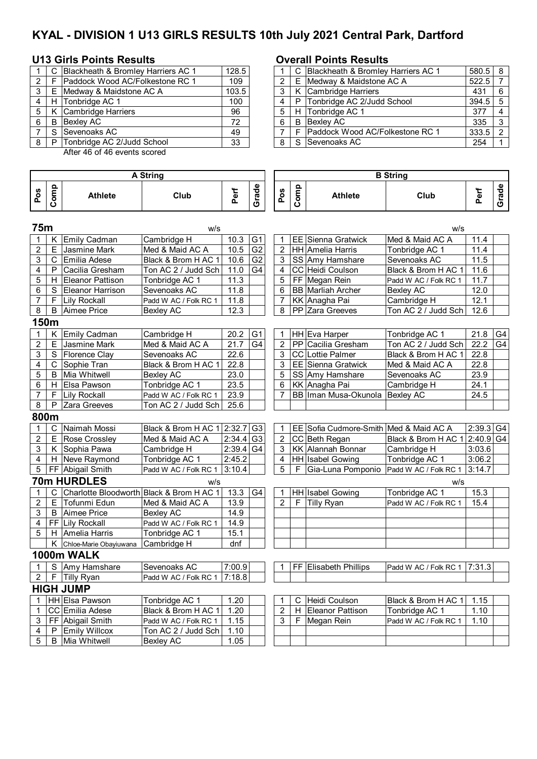# **KYAL - DIVISION 1 U13 GIRLS RESULTS 10th July 2021 Central Park, Dartford**

## **U13 Girls Points Results Overall Points Results**

|               | C.           | Blackheath & Bromley Harriers AC 1 | 128.5 |   |   | C Blackheath & Bromley Harriers AC 1 |
|---------------|--------------|------------------------------------|-------|---|---|--------------------------------------|
| $\mathcal{P}$ |              | Paddock Wood AC/Folkestone RC 1    | 109   |   |   | E Medway & Maidstone AC A            |
| 3             | F            | Medway & Maidstone AC A            | 103.5 |   |   | K Cambridge Harriers                 |
| 4             |              | H Tonbridge AC 1                   | 100   |   |   | P Tonbridge AC 2/Judd School         |
| 5             | K            | Cambridge Harriers                 | 96    | 5 |   | H Tonbridge AC 1                     |
| 6             | B            | <b>Bexley AC</b>                   | 72    | 6 | B | Bexley AC                            |
|               | <sub>S</sub> | Sevenoaks AC                       | 49    |   |   | Paddock Wood AC/Folkestone RC 1      |
| 8             | P            | Tonbridge AC 2/Judd School         | 33    | 8 |   | S Sevenoaks AC                       |
|               |              |                                    |       |   |   |                                      |

After 46 of 46 events scored

### **Pos Comp Athlete Club Perf Grade Pos Comp Athlete Club Perf Grade 75m** w/s w/s 1 | K | Emily Cadman | Cambridge H | 10.3 | G1 | | 1 | EE | Sienna Gratwick | Med & Maid AC A | 11.4 2 | E | Jasmine Mark | Med & Maid AC A  $\mid$  10.5 | G2 | | 2 | HH | Amelia Harris | Tonbridge AC 1 | 11.4  $3 \mid C \mid$ Emilia Adese | Black & Brom H AC 1 | 10.6  $|G2|$  | 3 | SS | Amy Hamshare | Sevenoaks AC | 11.5 4 | P Cacilia Gresham | Ton AC 2 / Judd Sch | 11.0 | G4 | | 4 | CC | Heidi Coulson | Black & Brom H AC 1 | 11.6 5 | H Eleanor Pattison | Tonbridge AC 1 | 11.3 | | | 5 | FF Megan Rein | Padd W AC / Folk RC 1 | 11.7 6 S Eleanor Harrison Sevenoaks AC 11.8 | 6 BB Marliah Archer Bexley AC 12.0 7 | F | Lily Rockall | Padd W AC / Folk RC 1 | 11.8 | | | | 7 | KK | Anagha Pai | Cambridge H | 12.1 8 B Aimee Price Bexley AC 12.3 8 PP Zara Greeves Ton AC 2 / Judd Sch 12.6 **150m** 1 | K Emily Cadman | Cambridge H | 20.2 | G1 | HH Eva Harper | Tonbridge AC 1 | 21.8 | G4 2 | E |Jasmine Mark | Med & Maid AC A  $\mid$  21.7 | G4 |  $\mid$  2 | PP |Cacilia Gresham | Ton AC 2 / Judd Sch | 22.2 | G4 3 S Florence Clay Sevenoaks AC 22.6 3 CC Lottie Palmer Black & Brom H AC 1 22.8 4 | C Sophie Tran Black & Brom H AC 1 22.8 | | | 3 | EE Sienna Gratwick | Med & Maid AC A | 22.8 5 B Mia Whitwell Bexley AC 23.0 | | 5 SS Amy Hamshare Sevenoaks AC 23.9 6 | H Elsa Pawson | Tonbridge AC 1 | 23.5 | | | 6 | KK Anagha Pai | Cambridge H | 24.1 7 | F Lily Rockall Padd W AC / Folk RC 1 | 23.9 | | | 7 | BB | Iman Musa-Okunola | Bexley AC | 24.5 8 | P Zara Greeves | Ton AC 2 / Judd Sch 25.6 **800m** 1 | C | Naimah Mossi | Black & Brom H AC 1 | 2:32.7 | G3 | 1 | EE | Sofia Cudmore-Smith | Med & Maid AC A | 2:39.3 | G4 2 E Rose Crossley Med & Maid AC A 2:34.4 G3 2 CC Beth Regan Black & Brom H AC 1 2:40.9 G4 3 K Sophia Pawa Cambridge H 2:39.4 G4 3 KK Alannah Bonnar Cambridge H 3:03.6 4 H Neve Raymond Tonbridge AC 1 2:45.2 4 HH Isabel Gowing Tonbridge AC 1 3:06.2<br>5 FF Abigail Smith Padd W AC / Folk RC 1 3:10.4 5 F Gia-Luna Pomponio Padd W AC / Folk RC 1 3:14.7 5 | FF Abigail Smith Padd W AC / Folk RC 1 | 3:10.4 | | | | | | | | | | Gia-Luna Pomponio | Padd W AC / Folk RC 1 | 3:14.7 **70m HURDLES** w/s w/s 1 | C Charlotte Bloodworth Black & Brom H AC 1 | 13.3 | G4 | T | HH Isabel Gowing | Tonbridge AC 1 | 15.3 2 E Tofunmi Edun Med & Maid AC A  $\mid$  13.9  $\mid$   $\mid$   $\mid$  2  $\mid$  F  $\mid$  Tilly Ryan Padd W AC / Folk RC 1 | 15.4 3 B Aimee Price Bexley AC 14.9 4 | FF | Lily Rockall | Padd W AC / Folk RC 1 | 14.9 5 | H Amelia Harris | Tonbridge AC 1 | 15.1 K Chloe-Marie Obayiuwana Cambridge H dnf **1000m WALK** 1 S Amy Hamshare Sevenoaks AC 7:00.9 1 FF Elisabeth Phillips Padd W AC / Folk RC 1 7:31.3  $2 \mid F$  Tilly Ryan Padd W AC / Folk RC 1 7:18.8 **HIGH JUMP**<br>1 |HH|Elsa <u>Pawson</u> 1 | HH Elsa Pawson | Tonbridge AC 1 | 1.20 | | | 1 | C | Heidi Coulson | Black & Brom H AC 1 | 1.15 1 CC Emilia Adese Black & Brom H AC 1 1.20 2 H Eleanor Pattison Tonbridge AC 1 1.10 3 | FF Abigail Smith Padd W AC / Folk RC 1 | 1.15 | 3 | F | Megan Rein | Padd W AC / Folk RC 1 | 1.10  $4 | P |$  Emily Willcox  $|$ Ton AC 2 / Judd Sch 1.10 5 | B | Mia Whitwell | Bexley AC | 1.05 **A String B String**

|       |       | C Blackheath & Bromley Harriers AC 1 | 128.5 |  |    | Blackheath & Bromley Harriers AC 1     | 580.5 |  |
|-------|-------|--------------------------------------|-------|--|----|----------------------------------------|-------|--|
| 2 I F |       | Paddock Wood AC/Folkestone RC 1      | 109   |  |    | E Medway & Maidstone AC A              | 522.5 |  |
|       |       | Medway & Maidstone AC A              | 103.5 |  |    | K Cambridge Harriers                   | 431   |  |
|       | H     | Tonbridge AC 1                       | 100   |  |    | P Tonbridge AC 2/Judd School           | 394.5 |  |
|       |       | 5   K Cambridge Harriers             | 96    |  |    | H Tonbridge AC 1                       | 377   |  |
| 6     | B     | Bexley AC                            | 72    |  | B. | Bexley AC                              | 335   |  |
|       | . S.  | Sevenoaks AC                         | 49    |  |    | <b>Paddock Wood AC/Folkestone RC 1</b> | 333.5 |  |
|       | 8 I P | Tonbridge AC 2/Judd School           | 33    |  |    | S Sevenoaks AC                         | 254   |  |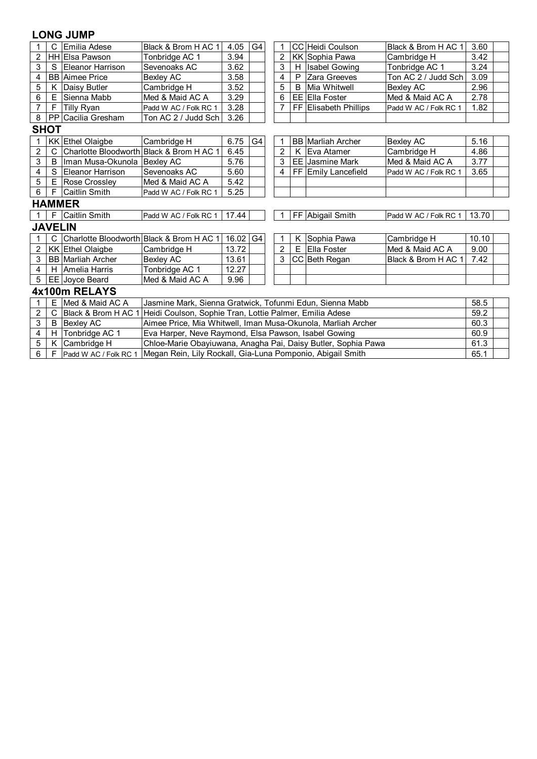# **LONG JUMP**

| 1              | C              | Emilia Adese                             | Black & Brom H AC 1                                              | 4.05                                                          | G4 | 1              |   | CC Heidi Coulson         | Black & Brom H AC 1   | 3.60  |  |  |
|----------------|----------------|------------------------------------------|------------------------------------------------------------------|---------------------------------------------------------------|----|----------------|---|--------------------------|-----------------------|-------|--|--|
| $\overline{2}$ |                | <b>HH</b> Elsa Pawson                    | Tonbridge AC 1                                                   | 3.94                                                          |    | $\overline{2}$ |   | <b>KK Sophia Pawa</b>    | Cambridge H           | 3.42  |  |  |
| 3              | S              | Eleanor Harrison                         | Sevenoaks AC                                                     | 3.62                                                          |    | 3              | Н | <b>Isabel Gowing</b>     | Tonbridge AC 1        | 3.24  |  |  |
| 4              |                | <b>BB</b> Aimee Price                    | <b>Bexley AC</b>                                                 | 3.58                                                          |    | 4              | P | Zara Greeves             | Ton AC 2 / Judd Sch   | 3.09  |  |  |
| 5              | κ              | Daisy Butler                             | Cambridge H                                                      | 3.52                                                          |    | 5              | B | lMia Whitwell            | Bexley AC             | 2.96  |  |  |
| 6              | Е              | Sienna Mabb                              | Med & Maid AC A                                                  | 3.29                                                          |    | 6              |   | EE Ella Foster           | Med & Maid AC A       | 2.78  |  |  |
| $\overline{7}$ | F              | <b>Tilly Ryan</b>                        | Padd W AC / Folk RC 1                                            | 3.28                                                          |    |                |   | FF Elisabeth Phillips    | Padd W AC / Folk RC 1 | 1.82  |  |  |
| 8              | <b>PP</b>      | Cacilia Gresham                          | Ton AC 2 / Judd Sch                                              | 3.26                                                          |    |                |   |                          |                       |       |  |  |
| <b>SHOT</b>    |                |                                          |                                                                  |                                                               |    |                |   |                          |                       |       |  |  |
| $\mathbf{1}$   |                | KK Ethel Olaigbe                         | Cambridge H                                                      | 6.75                                                          | G4 | 1              |   | <b>BB</b> Marliah Archer | <b>Bexley AC</b>      | 5.16  |  |  |
| $\overline{c}$ | C              | Charlotte Bloodworth Black & Brom H AC 1 |                                                                  | 6.45                                                          |    | $\overline{2}$ | К | Eva Atamer               | Cambridge H           | 4.86  |  |  |
| 3              | в              | Iman Musa-Okunola Bexley AC              |                                                                  | 5.76                                                          |    | 3              |   | <b>EE Jasmine Mark</b>   | Med & Maid AC A       | 3.77  |  |  |
| 4              | S              | Eleanor Harrison                         | Sevenoaks AC                                                     | 5.60                                                          |    | 4              |   | FF Emily Lancefield      | Padd W AC / Folk RC 1 | 3.65  |  |  |
| 5              | Е              | Rose Crossley                            | Med & Maid AC A                                                  | 5.42                                                          |    |                |   |                          |                       |       |  |  |
| 6              | F              | <b>Caitlin Smith</b>                     | Padd W AC / Folk RC 1                                            | 5.25                                                          |    |                |   |                          |                       |       |  |  |
|                |                | <b>HAMMER</b>                            |                                                                  |                                                               |    |                |   |                          |                       |       |  |  |
| $\overline{1}$ | F              | Caitlin Smith                            | Padd W AC / Folk RC 1                                            | 17.44                                                         |    | 1              |   | FF Abigail Smith         | Padd W AC / Folk RC 1 | 13.70 |  |  |
|                | <b>JAVELIN</b> |                                          |                                                                  |                                                               |    |                |   |                          |                       |       |  |  |
|                |                |                                          | Charlotte Bloodworth Black & Brom H AC 1                         | 16.02                                                         | G4 | 1              | K | Sophia Pawa              | Cambridge H           | 10.10 |  |  |
| $\overline{2}$ |                | <b>KK</b> Ethel Olaigbe                  | Cambridge H                                                      | 13.72                                                         |    | 2              | E | <b>Ella Foster</b>       | Med & Maid AC A       | 9.00  |  |  |
| 3              |                | <b>BB Marliah Archer</b>                 | <b>Bexley AC</b>                                                 | 13.61                                                         |    | 3              |   | CC Beth Regan            | Black & Brom H AC 1   | 7.42  |  |  |
| 4              |                | H Amelia Harris                          | Tonbridge AC 1                                                   | 12.27                                                         |    |                |   |                          |                       |       |  |  |
| 5              |                | EE Joyce Beard                           | Med & Maid AC A                                                  | 9.96                                                          |    |                |   |                          |                       |       |  |  |
| 4x100m RELAYS  |                |                                          |                                                                  |                                                               |    |                |   |                          |                       |       |  |  |
| $\mathbf{1}$   | E              | Med & Maid AC A                          | Jasmine Mark, Sienna Gratwick, Tofunmi Edun, Sienna Mabb<br>58.5 |                                                               |    |                |   |                          |                       |       |  |  |
| 2              |                | Black & Brom H AC 1                      | Heidi Coulson, Sophie Tran, Lottie Palmer, Emilia Adese          |                                                               |    |                |   |                          |                       | 59.2  |  |  |
| 3              | в              | <b>Bexley AC</b>                         | Aimee Price, Mia Whitwell, Iman Musa-Okunola, Marliah Archer     |                                                               |    |                |   |                          |                       | 60.3  |  |  |
| 4              | H.             | Tonbridge AC 1                           | Eva Harper, Neve Raymond, Elsa Pawson, Isabel Gowing<br>60.9     |                                                               |    |                |   |                          |                       |       |  |  |
| 5              | K.             | Cambridge H                              |                                                                  | Chloe-Marie Obayiuwana, Anagha Pai, Daisy Butler, Sophia Pawa |    |                |   |                          |                       |       |  |  |

6 F Padd W AC / Folk RC 1 Megan Rein, Lily Rockall, Gia-Luna Pomponio, Abigail Smith 65.1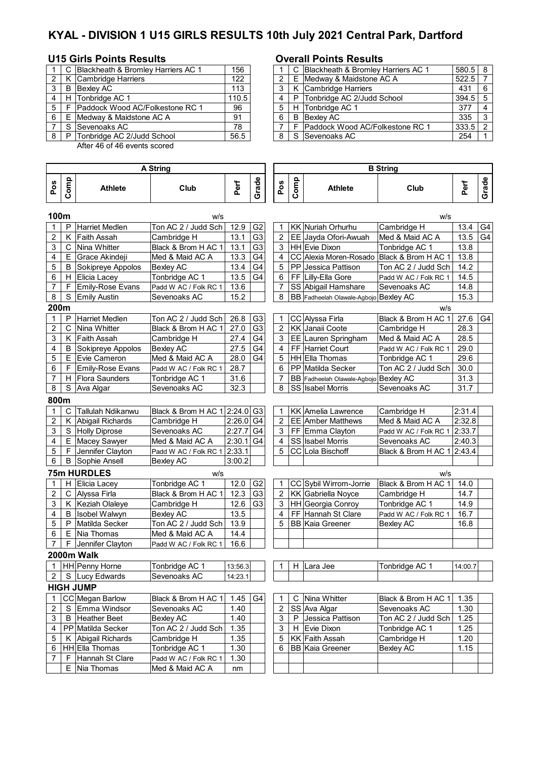# **KYAL - DIVISION 1 U15 GIRLS RESULTS 10th July 2021 Central Park, Dartford**

## **U15 Girls Points Results Overall Points Results**

**Pos**

|   |   | C Blackheath & Bromley Harriers AC 1 | 156   |                |   | C Blackheath & Bromley Harriers AC 1 |
|---|---|--------------------------------------|-------|----------------|---|--------------------------------------|
|   |   | K Cambridge Harriers                 | 122   |                |   | E Medway & Maidstone AC A            |
|   | B | Bexley AC                            | 113   |                |   | K Cambridge Harriers                 |
|   |   | H Tonbridge AC 1                     | 110.5 |                |   | P Tonbridge AC 2/Judd School         |
| 5 |   | F Paddock Wood AC/Folkestone RC 1    | 96    | 5 <sup>1</sup> |   | H Tonbridge AC 1                     |
| 6 |   | E Medway & Maidstone AC A            | 91    | - 6            | B | <b>Bexley AC</b>                     |
|   |   | S Sevenoaks AC                       | 78    |                |   | F Paddock Wood AC/Folkestone RC 1    |
| 8 | P | Tonbridge AC 2/Judd School           | 56.5  | 8              |   | S Sevenoaks AC                       |

After 46 of 46 events scored

### **Comp Athlete Club Perf Grade Pos Comp Athlete Club Perf Grade 100m** w/s w/s P Harriet Medlen Ton AC 2 / Judd Sch | 12.9 G2 | 1 | KK Nuriah Orhurhu Cambridge H | 13.4 G4 2 K Faith Assah (Cambridge H | 13.1 G3 | 2 EE Jayda Ofori-Awuah Med & Maid AC A | 13.5 G4 3 | C | Nina Whitter | Black & Brom H AC 1 | 13.1 | G3 | | 3 | HH | Evie Dixon | Tonbridge AC 1 | 13.8 4 E Grace Akindeji Med & Maid AC A 13.3 G4 4 CC Alexia Moren-Rosado Black & Brom H AC 1 13.8<br>5 B Sokipreye Appolos Bexley AC 13.4 G4 5 PP Jessica Pattison Ton AC 2 / Judd Sch 14.2 5 | B Sokipreye Appolos | Bexley AC | 13.4 | G4 | | 5 | PP | Jessica Pattison | Ton AC 2 / Judd Sch | 14.2 6 | H Elicia Lacey | Tonbridge AC 1 | 13.5 | G4 | | 6 | FF | Lilly-Ella Gore | Padd W AC / Folk RC 1 | 14.5 7 | F | Emily-Rose Evans | Padd W AC / Folk RC 1 | 13.6 | | | | 7 | SS | Abigail Hamshare | Sevenoaks AC | 14.8 8 S Emily Austin Sevenoaks AC 15.2 | | 8 BB Fadheelah Olawale-Agbojo Bexley AC 15.3 **200m** w/s 1 P Harriet Medlen Ton AC 2 / Judd Sch 26.8 G3 | 1 CC Alyssa Firla Black & Brom H AC 1 | 27.6 G4 2 | C | Nina Whitter | Black & Brom H AC 1 | 27.0  $|G3|$  | 2 | KK | Janaii Coote | Cambridge H | 28.3 3 K Faith Assah Cambridge H 27.4 G4 3 EE Lauren Springham Med & Maid AC A 28.5 4 B Sokipreye Appolos Bexley AC 27.5 G4 4 FF Harriet Court Padd W AC / Folk RC 1 29.0 5 | E | Evie Cameron | Med & Maid AC A | 28.0 | G4 | | 5 | HH | Ella Thomas | Tonbridge AC 1 | 29.6 6 | F Emily-Rose Evans | Padd W AC / Folk RC 1 | 28.7 | | | | 6 | PP | Matilda Secker | Ton AC 2 / Judd Sch | 30.0 7 | H | Flora Saunders | Tonbridge AC 1 | 31.6 | | | 7 | BB | Fadheelah Olawale-Agbojo | Bexley AC | 31.3 8 S Ava Algar Sevenoaks AC 32.3 8 S S S S S S S S S S S S Sevenoaks AC 31.7 **800m** 1 C Tallulah Ndikanwu Black & Brom H AC 1 2:24.0 G3 1 KK Amelia Lawrence Cambridge H 2:31.4<br>2 K Abigail Richards Cambridge H 2:26.0 G4 2 EE Amber Matthews Med & Maid AC A 2:32.8 2 K Abigail Richards Cambridge H 2:26.0 G4 2 EE Amber Matthews Med & Maid AC A 2:32.8<br>3 S Holly Diprose Sevenoaks AC 2:27.7 G4 3 FF Emma Clayton Padd W AC / Folk RC 1 2:33.7 3 S Holly Diprose Sevenoaks AC 2:27.7 G4 3 FF Emma Clayton Padd W AC / Folk RC 1 2:33.7 4 | E |Macey Sawyer | Med & Maid AC A | 2:30.1 G4 | SS | Sabel Morris | Sevenoaks AC | 2:40.3 5 | F |Jennifer Clayton | Padd W AC / Folk RC 1 | 2:33.1 | | | | 5 | CC | Lola Bischoff | | Black & Brom H AC 1 | 2:43.4 6 | B Sophie Ansell Bexley AC 3:00.2 **75m HURDLES** w/s w/s 1 | H | Elicia Lacey | Tonbridge AC 1 | 12.0 | G2 | | 1 | CC | Sybil Wirrom-Jorrie | Black & Brom H AC 1 | 14.0 2 C Alyssa Firla Black & Brom H AC 1 12.3 G3 2 KK Gabriella Noyce Cambridge H 14.7 3 | K | Keziah Olaleye | Cambridge H | 12.6 | G3 | | 3 | HH | Georgia Conroy | Tonbridge AC 1 | 14.9 4 B Isobel Walwyn Bexley AC 13.5 4 FF Hannah St Clare Padd W AC / Folk RC 1 16.7 5 P Matilda Secker Ton AC 2 / Judd Sch 13.9 5 BB Kaia Greener Bexley AC 16.8  $6 \mid E$  Nia Thomas Med & Maid AC A  $\mid$  14.4 7 | F Jennifer Clayton | Padd W AC / Folk RC 1 | 16.6 **2000m Walk** 1 HH Penny Horne Tonbridge AC 1 13:56.3 1 H Lara Jee Tonbridge AC 1 14:00.7 2 S Lucy Edwards Sevenoaks AC 14:23.1 **HIGH JUMP** 1 CC Megan Barlow Black & Brom H AC 1 1.45 G4 2 S Emma Windsor Sevenoaks AC | 1.40 | | | 2 | SS |Ava Algar |Sevenoaks AC | 1.30 **A String B String**

| 2 <sup>1</sup> | S Emma Windsor         | lSevenoaks AC         | 1.40 |  |    | SS Ava Algar            | Sevenoaks AC        | 1.3C |
|----------------|------------------------|-----------------------|------|--|----|-------------------------|---------------------|------|
| 3 <sup>1</sup> | <b>B</b> Heather Beet  | <b>Bexlev AC</b>      | 1.40 |  | P  | <b>Jessica Pattison</b> | Ton AC 2 / Judd Sch | 1.25 |
|                | 4 IPP Matilda Secker   | Ton AC 2 / Judd Sch I | 1.35 |  | H. | Evie Dixon              | Tonbridge AC 1      | 1.25 |
|                | 5   K Abigail Richards | Cambridge H           | 1.35 |  |    | 5 KK Faith Assah        | Cambridge H         | 1.20 |
|                | 6 HH Ella Thomas       | Tonbridge AC 1        | 1.30 |  |    | l BB lKaia Greener      | Bexley AC           | 1.15 |
|                | F Hannah St Clare      | Padd W AC / Folk RC 1 | l.30 |  |    |                         |                     |      |
|                | E Nia Thomas           | Med & Maid AC A       | nm   |  |    |                         |                     |      |

|   |   | C INina Whitter        | Black & Brom H AC 11  | 1.35 |  |
|---|---|------------------------|-----------------------|------|--|
|   |   | 2 SS Ava Algar         | Sevenoaks AC          | 1.30 |  |
| 3 | P | Jessica Pattison       | Ton AC 2 / Judd Sch I | 1.25 |  |
| 3 |   | H Evie Dixon           | Tonbridge AC 1        | 1.25 |  |
| 5 |   | KK Faith Assah         | Cambridge H           | 1.20 |  |
| 6 |   | <b>BB Kaia Greener</b> | Bexley AC             | 1.15 |  |
|   |   |                        |                       |      |  |
|   |   |                        |                       |      |  |

|     |       | C Blackheath & Bromley Harriers AC 1 | 156   |  | C Blackheath & Bromley Harriers AC 1 | $580.5$ 8 |    |
|-----|-------|--------------------------------------|-------|--|--------------------------------------|-----------|----|
|     |       | 2   K  Cambridge Harriers            | 122   |  | E Medway & Maidstone AC A            | 522.5     |    |
| 3 I | B     | Bexley AC                            | 113   |  | K Cambridge Harriers                 | 431       | -6 |
| 4 I | H     | Tonbridge AC 1                       | 110.5 |  | P Tonbridge AC 2/Judd School         | $394.5$ 5 |    |
|     |       | 5 F Paddock Wood AC/Folkestone RC 1  | 96    |  | H Tonbridge AC 1                     | 377       |    |
| 6   | E     | Medway & Maidstone AC A              | 91    |  | <b>B</b> Bexlev AC                   | 335       | ્વ |
|     |       | S Sevenoaks AC                       | 78    |  | F Paddock Wood AC/Folkestone RC 1    | $333.5$ 2 |    |
|     | 8   P | Tonbridge AC 2/Judd School           | 56.5  |  | S Sevenoaks AC                       | 254       |    |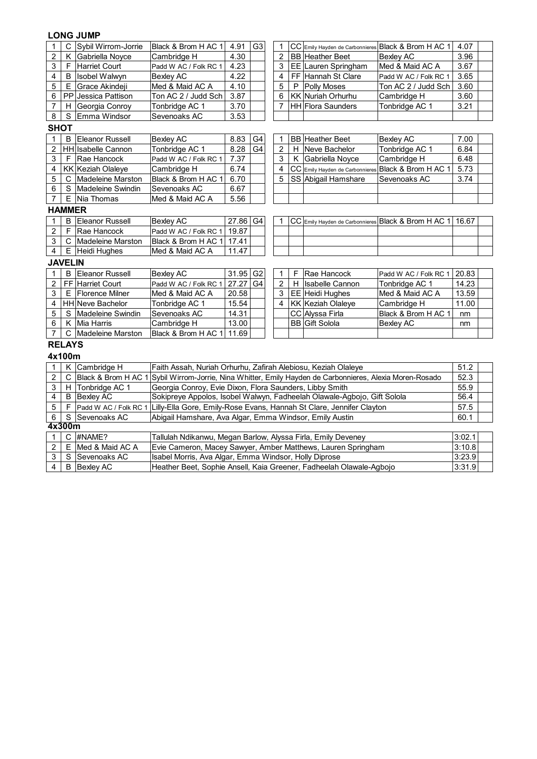## **LONG JUMP**

| $\mathbf{1}$            | C                   | Sybil Wirrom-Jorrie              | Black & Brom H AC 1                                                                                                          | 4.91     | G <sub>3</sub>  | $\mathbf{1}$   |   | CC Emily Hayden de Carbonnieres | Black & Brom H AC 1                                         | 4.07             |
|-------------------------|---------------------|----------------------------------|------------------------------------------------------------------------------------------------------------------------------|----------|-----------------|----------------|---|---------------------------------|-------------------------------------------------------------|------------------|
| $\overline{2}$          | Κ                   | Gabriella Noyce                  | Cambridge H                                                                                                                  | 4.30     |                 | $\overline{c}$ |   | <b>BB</b> Heather Beet          | <b>Bexley AC</b>                                            | 3.96             |
| $\overline{3}$          | F                   | <b>Harriet Court</b>             | Padd W AC / Folk RC 1                                                                                                        | 4.23     |                 | 3              |   | EE Lauren Springham             | Med & Maid AC A                                             | 3.67             |
| $\overline{\mathbf{4}}$ | B                   | Isobel Walwyn                    | <b>Bexley AC</b>                                                                                                             | 4.22     |                 | 4              |   | FF Hannah St Clare              | Padd W AC / Folk RC 1                                       | 3.65             |
| 5                       | Ε                   | Grace Akindeji                   | Med & Maid AC A                                                                                                              | 4.10     |                 | 5              | P | <b>Polly Moses</b>              | Ton AC 2 / Judd Sch                                         | 3.60             |
| 6                       | PP                  | Jessica Pattison                 | Ton AC 2 / Judd Sch                                                                                                          | 3.87     |                 | 6              |   | <b>KK Nuriah Orhurhu</b>        | Cambridge H                                                 | 3.60             |
| $\overline{7}$          | н                   | Georgia Conroy                   | Tonbridge AC 1                                                                                                               | 3.70     |                 | $\overline{7}$ |   | <b>HH</b> Flora Saunders        | Tonbridge AC 1                                              | 3.21             |
| $\bf 8$                 | $\mathbf S$         | Emma Windsor                     | Sevenoaks AC                                                                                                                 | 3.53     |                 |                |   |                                 |                                                             |                  |
| <b>SHOT</b>             |                     |                                  |                                                                                                                              |          |                 |                |   |                                 |                                                             |                  |
| $\mathbf{1}$            | B                   | <b>Eleanor Russell</b>           | <b>Bexley AC</b>                                                                                                             | 8.83     | G4              | 1              |   | <b>BB</b> Heather Beet          | <b>Bexley AC</b>                                            | 7.00             |
| $\overline{c}$          |                     | HH Isabelle Cannon               | Tonbridge AC 1                                                                                                               | 8.28     | $\overline{G4}$ | $\overline{2}$ |   | H Neve Bachelor                 | Tonbridge AC 1                                              | 6.84             |
| $\mathbf{3}$            | F.                  | Rae Hancock                      | Padd W AC / Folk RC 1                                                                                                        | 7.37     |                 | 3              | K | Gabriella Noyce                 | Cambridge H                                                 | 6.48             |
| $\overline{\mathbf{4}}$ |                     | <b>KK Keziah Olaleye</b>         | Cambridge H                                                                                                                  | 6.74     |                 | 4              |   | CC Emily Hayden de Carbonnieres | Black & Brom H AC 1                                         | 5.73             |
| $\mathbf 5$             | C                   | <b>Madeleine Marston</b>         | Black & Brom H AC 1                                                                                                          | 6.70     |                 | 5              |   | SS Abigail Hamshare             | Sevenoaks AC                                                | 3.74             |
| 6                       | S                   | <b>Madeleine Swindin</b>         | Sevenoaks AC                                                                                                                 | 6.67     |                 |                |   |                                 |                                                             |                  |
| $\overline{7}$          | E.                  | Nia Thomas                       | Med & Maid AC A                                                                                                              | 5.56     |                 |                |   |                                 |                                                             |                  |
| <b>HAMMER</b>           |                     |                                  |                                                                                                                              |          |                 |                |   |                                 |                                                             |                  |
| $\mathbf{1}$            | В                   | <b>Eleanor Russell</b>           | <b>Bexley AC</b>                                                                                                             | 27.86 G4 |                 | 1              |   |                                 | CC Emily Hayden de Carbonnieres Black & Brom H AC 1   16.67 |                  |
| $\overline{2}$          | F                   | Rae Hancock                      | Padd W AC / Folk RC 1                                                                                                        | 19.87    |                 |                |   |                                 |                                                             |                  |
| $\mathbf{3}$            | С                   | <b>Madeleine Marston</b>         | Black & Brom H AC 1                                                                                                          | 17.41    |                 |                |   |                                 |                                                             |                  |
| $\overline{4}$          | E.                  | Heidi Hughes                     | Med & Maid AC A                                                                                                              | 11.47    |                 |                |   |                                 |                                                             |                  |
|                         | <b>JAVELIN</b>      |                                  |                                                                                                                              |          |                 |                |   |                                 |                                                             |                  |
|                         |                     |                                  |                                                                                                                              |          |                 |                |   |                                 |                                                             |                  |
| $\mathbf{1}$            | B                   | <b>Eleanor Russell</b>           | <b>Bexley AC</b>                                                                                                             | 31.95    | G <sub>2</sub>  | 1              | F | Rae Hancock                     | Padd W AC / Folk RC 1                                       | 20.83            |
| $\sqrt{2}$              |                     | FF Harriet Court                 | Padd W AC / Folk RC 1                                                                                                        | 27.27    | G4              | $\sqrt{2}$     | H | <b>Isabelle Cannon</b>          | Tonbridge AC 1                                              | 14.23            |
| $\mathfrak{S}$          | E.                  | <b>Florence Milner</b>           | Med & Maid AC A                                                                                                              | 20.58    |                 | $\mathbf{3}$   |   | EE Heidi Hughes                 | Med & Maid AC A                                             | 13.59            |
| $\overline{\mathbf{4}}$ |                     | <b>HH</b> Neve Bachelor          | Tonbridge AC 1                                                                                                               | 15.54    |                 | 4              |   | <b>KK Keziah Olaleye</b>        | Cambridge H                                                 | 11.00            |
| 5                       | S                   | <b>Madeleine Swindin</b>         | Sevenoaks AC                                                                                                                 | 14.31    |                 |                |   | CC Alyssa Firla                 | Black & Brom H AC 1                                         | nm               |
| 6                       | Κ                   | <b>Mia Harris</b>                | Cambridge H                                                                                                                  | 13.00    |                 |                |   | <b>BB</b> Gift Solola           | <b>Bexley AC</b>                                            | nm               |
| $\overline{7}$          | С                   | Madeleine Marston                | Black & Brom H AC 1                                                                                                          | 11.69    |                 |                |   |                                 |                                                             |                  |
| <b>RELAYS</b>           |                     |                                  |                                                                                                                              |          |                 |                |   |                                 |                                                             |                  |
| 4x100m                  |                     |                                  |                                                                                                                              |          |                 |                |   |                                 |                                                             |                  |
| $\mathbf{1}$            | Κ                   | Cambridge H                      | Faith Assah, Nuriah Orhurhu, Zafirah Alebiosu, Keziah Olaleye                                                                |          |                 |                |   |                                 |                                                             | 51.2             |
| $\overline{c}$          | C                   | Black & Brom H AC 1              | Sybil Wirrom-Jorrie, Nina Whitter, Emily Hayden de Carbonnieres, Alexia Moren-Rosado                                         |          |                 |                |   |                                 |                                                             | 52.3             |
| 3                       | H                   | Tonbridge AC 1                   | Georgia Conroy, Evie Dixon, Flora Saunders, Libby Smith                                                                      |          |                 |                |   |                                 |                                                             | 55.9             |
| $\overline{4}$          | B                   | <b>Bexley AC</b>                 | Sokipreye Appolos, Isobel Walwyn, Fadheelah Olawale-Agbojo, Gift Solola                                                      |          |                 |                |   |                                 |                                                             | 56.4             |
| $\sqrt{5}$              | F                   | Padd W AC / Folk RC 1            | Lilly-Ella Gore, Emily-Rose Evans, Hannah St Clare, Jennifer Clayton                                                         |          |                 |                |   |                                 |                                                             | 57.5             |
| $\overline{6}$          | S                   | Sevenoaks AC                     | Abigail Hamshare, Ava Algar, Emma Windsor, Emily Austin                                                                      |          |                 |                |   |                                 |                                                             | 60.1             |
| 4x300m                  |                     |                                  |                                                                                                                              |          |                 |                |   |                                 |                                                             |                  |
| $\mathbf{1}$            |                     | C #NAME?                         | Tallulah Ndikanwu, Megan Barlow, Alyssa Firla, Emily Deveney                                                                 |          |                 |                |   |                                 |                                                             | 3:02.1           |
| $\sqrt{2}$              | Е                   | Med & Maid AC A                  | Evie Cameron, Macey Sawyer, Amber Matthews, Lauren Springham                                                                 |          |                 |                |   |                                 |                                                             | 3:10.8           |
| 3<br>$\overline{4}$     | S<br>$\overline{B}$ | Sevenoaks AC<br><b>Bexley AC</b> | Isabel Morris, Ava Algar, Emma Windsor, Holly Diprose<br>Heather Beet, Sophie Ansell, Kaia Greener, Fadheelah Olawale-Agbojo |          |                 |                |   |                                 |                                                             | 3:23.9<br>3:31.9 |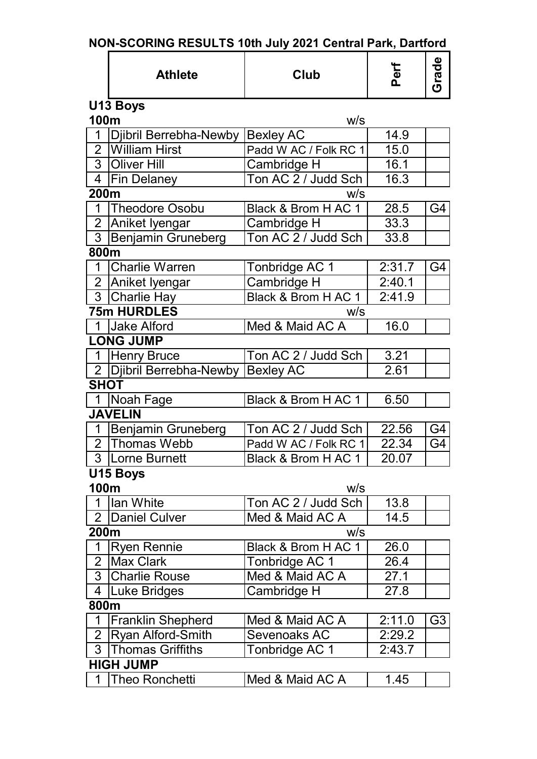|  | NON-SCORING RESULTS 10th July 2021 Central Park, Dartford |  |  |  |
|--|-----------------------------------------------------------|--|--|--|
|  |                                                           |  |  |  |

|                | <b>Athlete</b>            | Club                  | Perf   | Grade          |
|----------------|---------------------------|-----------------------|--------|----------------|
|                | U13 Boys                  |                       |        |                |
| 100m           |                           | W/S                   |        |                |
| 1              | Djibril Berrebha-Newby    | <b>Bexley AC</b>      | 14.9   |                |
| $\overline{2}$ | <b>William Hirst</b>      | Padd W AC / Folk RC 1 | 15.0   |                |
|                | 3 Oliver Hill             | Cambridge H           | 16.1   |                |
| 4              | <b>Fin Delaney</b>        | Ton AC 2 / Judd Sch   | 16.3   |                |
| 200m           |                           | W/S                   |        |                |
| $\mathbf 1$    | <b>Theodore Osobu</b>     | Black & Brom H AC 1   | 28.5   | G4             |
| $\overline{2}$ | Aniket Iyengar            | Cambridge H           | 33.3   |                |
| 3              | <b>Benjamin Gruneberg</b> | Ton AC 2 / Judd Sch   | 33.8   |                |
| 800m           |                           |                       |        |                |
| $\mathbf 1$    | <b>Charlie Warren</b>     | Tonbridge AC 1        | 2:31.7 | G4             |
| 2 <sup>1</sup> | Aniket Iyengar            | Cambridge H           | 2:40.1 |                |
| 3 <sup>1</sup> | Charlie Hay               | Black & Brom H AC 1   | 2:41.9 |                |
|                | <b>75m HURDLES</b>        | W/S                   |        |                |
|                | 1 Jake Alford             | Med & Maid AC A       | 16.0   |                |
|                | <b>LONG JUMP</b>          |                       |        |                |
| 1              | <b>Henry Bruce</b>        | Ton AC 2 / Judd Sch   | 3.21   |                |
|                | 2 Djibril Berrebha-Newby  | <b>Bexley AC</b>      | 2.61   |                |
| <b>SHOT</b>    |                           |                       |        |                |
| 1              | Noah Fage                 | Black & Brom H AC 1   | 6.50   |                |
|                | <b>JAVELIN</b>            |                       |        |                |
| $\mathbf{1}$   | <b>Benjamin Gruneberg</b> | Ton AC 2 / Judd Sch   | 22.56  | G4             |
| 2 <sup>1</sup> | Thomas Webb               | Padd W AC / Folk RC 1 | 22.34  | G4             |
|                | 3 Lorne Burnett           | Black & Brom H AC 1   | 20.07  |                |
|                | U15 Boys                  |                       |        |                |
| 100m           |                           | W/S                   |        |                |
| 1              | lan White                 | Ton AC 2 / Judd Sch   | 13.8   |                |
| $\overline{2}$ | <b>Daniel Culver</b>      | Med & Maid AC A       | 14.5   |                |
| 200m           |                           | W/S                   |        |                |
| 1              | <b>Ryen Rennie</b>        | Black & Brom H AC 1   | 26.0   |                |
| $\overline{2}$ | Max Clark                 | Tonbridge AC 1        | 26.4   |                |
| 3              | <b>Charlie Rouse</b>      | Med & Maid AC A       | 27.1   |                |
| 4              | Luke Bridges              | Cambridge H           | 27.8   |                |
| 800m           |                           |                       |        |                |
| 1              | <b>Franklin Shepherd</b>  | Med & Maid AC A       | 2:11.0 | G <sub>3</sub> |
| $\overline{2}$ | <b>Ryan Alford-Smith</b>  | Sevenoaks AC          | 2:29.2 |                |
| 3              | <b>Thomas Griffiths</b>   | Tonbridge AC 1        | 2:43.7 |                |
|                | <b>HIGH JUMP</b>          |                       |        |                |
| 1              | <b>Theo Ronchetti</b>     | Med & Maid AC A       | 1.45   |                |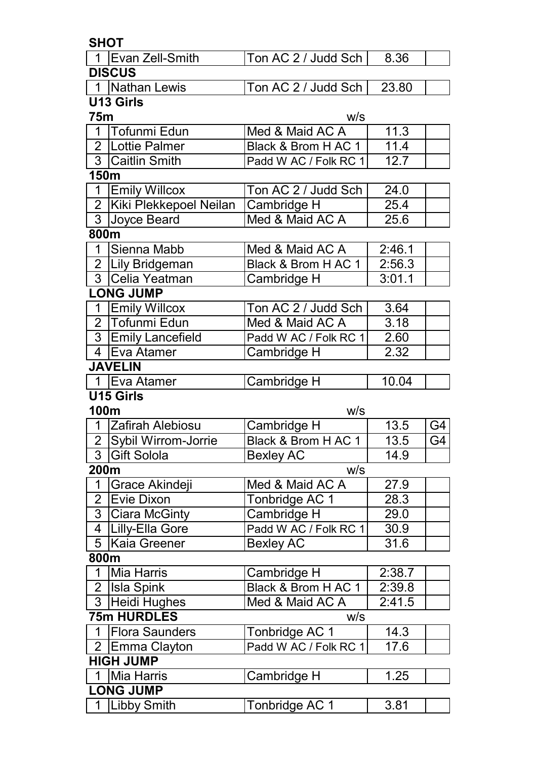|                | <b>SHOT</b>            |                       |        |                 |
|----------------|------------------------|-----------------------|--------|-----------------|
|                | 1 Evan Zell-Smith      | Ton AC 2 / Judd Sch   | 8.36   |                 |
|                | <b>DISCUS</b>          |                       |        |                 |
|                | 1 Nathan Lewis         | Ton AC 2 / Judd Sch   | 23.80  |                 |
|                | U13 Girls              |                       |        |                 |
| <b>75m</b>     |                        | W/S                   |        |                 |
| 1              | Tofunmi Edun           | Med & Maid AC A       | 11.3   |                 |
| $\overline{2}$ | Lottie Palmer          | Black & Brom H AC 1   | 11.4   |                 |
|                | 3 Caitlin Smith        | Padd W AC / Folk RC 1 | 12.7   |                 |
| <b>150m</b>    |                        |                       |        |                 |
| 1              | <b>Emily Willcox</b>   | Ton AC 2 / Judd Sch   | 24.0   |                 |
| 2 <sup>1</sup> | Kiki Plekkepoel Neilan | Cambridge H           | 25.4   |                 |
|                | 3 Joyce Beard          | Med & Maid AC A       | 25.6   |                 |
| 800m           |                        |                       |        |                 |
| $\mathbf 1$    | Sienna Mabb            | Med & Maid AC A       | 2:46.1 |                 |
|                | 2   Lily Bridgeman     | Black & Brom H AC 1   | 2:56.3 |                 |
|                | 3 Celia Yeatman        | Cambridge H           | 3:01.1 |                 |
|                | <b>LONG JUMP</b>       |                       |        |                 |
|                | 1 Emily Willcox        | Ton AC 2 / Judd Sch   | 3.64   |                 |
|                | 2 Tofunmi Edun         | Med & Maid AC A       | 3.18   |                 |
|                | 3 Emily Lancefield     | Padd W AC / Folk RC 1 | 2.60   |                 |
| $\overline{4}$ | Eva Atamer             | Cambridge H           | 2.32   |                 |
|                | <b>JAVELIN</b>         |                       |        |                 |
|                | 1 Eva Atamer           | Cambridge H           | 10.04  |                 |
|                | <b>U15 Girls</b>       |                       |        |                 |
| 100m           |                        | W/S                   |        |                 |
|                | 1 Zafirah Alebiosu     | Cambridge H           | 13.5   | G4              |
|                | 2 Sybil Wirrom-Jorrie  | Black & Brom H AC 1   | 13.5   | $\overline{G4}$ |
|                | 3 Gift Solola          | <b>Bexley AC</b>      | 14.9   |                 |
| 200m           |                        | W/S                   |        |                 |
| $\mathbf{1}$   | Grace Akindeji         | Med & Maid AC A       | 27.9   |                 |
| $\overline{2}$ | Evie Dixon             | Tonbridge AC 1        | 28.3   |                 |
| 3 <sup>1</sup> | <b>Ciara McGinty</b>   | Cambridge H           | 29.0   |                 |
|                | 4   Lilly-Ella Gore    | Padd W AC / Folk RC 1 | 30.9   |                 |
| 5              | Kaia Greener           | <b>Bexley AC</b>      | 31.6   |                 |
| 800m           |                        |                       |        |                 |
| $\mathbf 1$    | Mia Harris             | Cambridge H           | 2:38.7 |                 |
|                | 2 Isla Spink           | Black & Brom H AC 1   | 2:39.8 |                 |
|                | 3 Heidi Hughes         | Med & Maid AC A       | 2:41.5 |                 |
|                | <b>75m HURDLES</b>     | W/S                   |        |                 |
| $\mathbf 1$    | <b>Flora Saunders</b>  | Tonbridge AC 1        | 14.3   |                 |
|                | 2 Emma Clayton         | Padd W AC / Folk RC 1 | 17.6   |                 |
|                | <b>HIGH JUMP</b>       |                       |        |                 |
|                | 1   Mia Harris         | Cambridge H           | 1.25   |                 |
|                | <b>LONG JUMP</b>       |                       |        |                 |
|                | 1 Libby Smith          | Tonbridge AC 1        | 3.81   |                 |